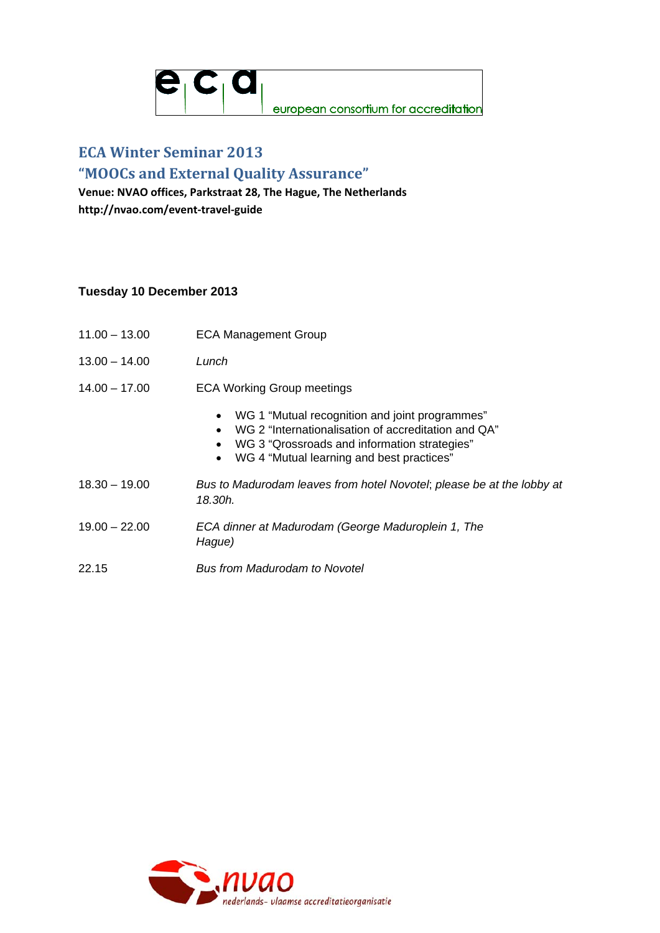

# **ECA Winter Seminar 2013**

## **"MOOCs and External Quality Assurance"**

**Venue: NVAO offices, Parkstraat 28, The Hague, The Netherlands http://nvao.com/event‐travel‐guide**

### **Tuesday 10 December 2013**

- 11.00 13.00 ECA Management Group
- 13.00 14.00 *Lunch*
- 14.00 17.00 ECA Working Group meetings
	- WG 1 "Mutual recognition and joint programmes"
	- WG 2 "Internationalisation of accreditation and QA"
	- WG 3 "Qrossroads and information strategies"
	- WG 4 "Mutual learning and best practices"
- 18.30 19.00 *Bus to Madurodam leaves from hotel Novotel*; *please be at the lobby at 18.30h.*
- 19.00 22.00 *ECA dinner at Madurodam (George Maduroplein 1, The Hague)*
- 22.15 *Bus from Madurodam to Novotel*